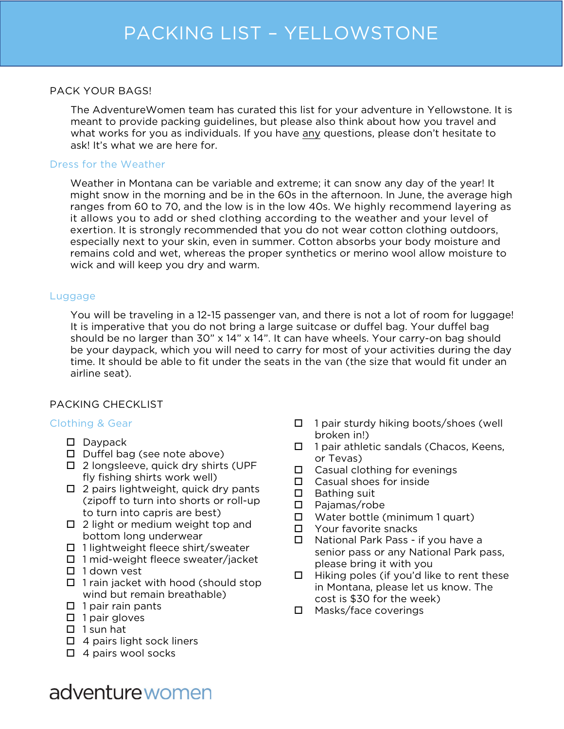#### PACK YOUR BAGS!

The AdventureWomen team has curated this list for your adventure in Yellowstone. It is meant to provide packing guidelines, but please also think about how you travel and what works for you as individuals. If you have any questions, please don't hesitate to ask! It's what we are here for.

#### Dress for the Weather

Weather in Montana can be variable and extreme; it can snow any day of the year! It might snow in the morning and be in the 60s in the afternoon. In June, the average high ranges from 60 to 70, and the low is in the low 40s. We highly recommend layering as it allows you to add or shed clothing according to the weather and your level of exertion. It is strongly recommended that you do not wear cotton clothing outdoors, especially next to your skin, even in summer. Cotton absorbs your body moisture and remains cold and wet, whereas the proper synthetics or merino wool allow moisture to wick and will keep you dry and warm.

#### Luggage

You will be traveling in a 12-15 passenger van, and there is not a lot of room for luggage! It is imperative that you do not bring a large suitcase or duffel bag. Your duffel bag should be no larger than  $30'' \times 14'' \times 14''$ . It can have wheels. Your carry-on bag should be your daypack, which you will need to carry for most of your activities during the day time. It should be able to fit under the seats in the van (the size that would fit under an airline seat).

### PACKING CHECKLIST

### Clothing & Gear

- $\square$  Davpack
- $\Box$  Duffel bag (see note above)
- $\square$  2 longsleeve, quick dry shirts (UPF fly fishing shirts work well)
- $\Box$  2 pairs lightweight, quick dry pants (zipoff to turn into shorts or roll-up to turn into capris are best)
- $\Box$  2 light or medium weight top and bottom long underwear
- $\Box$  1 lightweight fleece shirt/sweater
- □ 1 mid-weight fleece sweater/jacket
- $\Box$  1 down vest
- $\Box$  1 rain jacket with hood (should stop wind but remain breathable)
- $\Box$  1 pair rain pants
- $\Box$  1 pair gloves
- $\Box$  1 sun hat
- $\Box$  4 pairs light sock liners
- $\Box$  4 pairs wool socks
- $\Box$  1 pair sturdy hiking boots/shoes (well broken in!)
- $\Box$  1 pair athletic sandals (Chacos, Keens, or Tevas)
- $\square$  Casual clothing for evenings
- $\Box$  Casual shoes for inside
- $\Box$  Bathing suit
- Pajamas/robe
- $\Box$  Water bottle (minimum 1 quart)
- □ Your favorite snacks
- $\Box$  National Park Pass if you have a senior pass or any National Park pass, please bring it with you
- $\Box$  Hiking poles (if you'd like to rent these in Montana, please let us know. The cost is \$30 for the week)
- □ Masks/face coverings

# adventure women